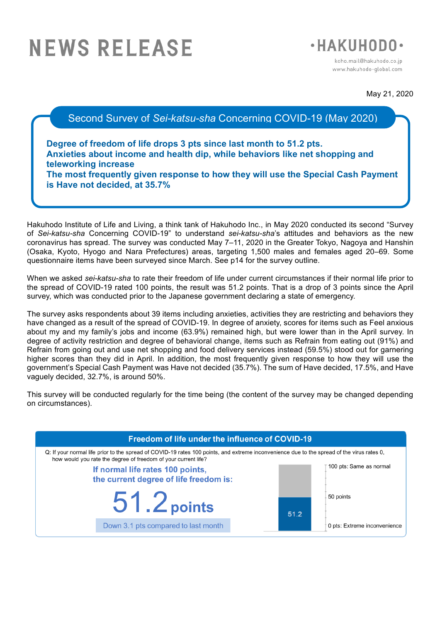# **NEWS RELEASE**



koho.mail@hakuhodo.co.ip www.hakuhodo-global.com

May 21, 2020

Second Survey of *Sei-katsu-sha* Concerning COVID-19 (May 2020)

**Degree of freedom of life drops 3 pts since last month to 51.2 pts. Anxieties about income and health dip, while behaviors like net shopping and teleworking increase The most frequently given response to how they will use the Special Cash Payment is Have not decided, at 35.7%**

Hakuhodo Institute of Life and Living, a think tank of Hakuhodo Inc., in May 2020 conducted its second "Survey of *Sei-katsu-sha* Concerning COVID-19" to understand *sei-katsu-sha*'s attitudes and behaviors as the new coronavirus has spread. The survey was conducted May 7–11, 2020 in the Greater Tokyo, Nagoya and Hanshin (Osaka, Kyoto, Hyogo and Nara Prefectures) areas, targeting 1,500 males and females aged 20–69. Some questionnaire items have been surveyed since March. See p14 for the survey outline.

When we asked *sei-katsu-sha* to rate their freedom of life under current circumstances if their normal life prior to the spread of COVID-19 rated 100 points, the result was 51.2 points. That is a drop of 3 points since the April survey, which was conducted prior to the Japanese government declaring a state of emergency.

The survey asks respondents about 39 items including anxieties, activities they are restricting and behaviors they have changed as a result of the spread of COVID-19. In degree of anxiety, scores for items such as Feel anxious about my and my family's jobs and income (63.9%) remained high, but were lower than in the April survey. In degree of activity restriction and degree of behavioral change, items such as Refrain from eating out (91%) and Refrain from going out and use net shopping and food delivery services instead (59.5%) stood out for garnering higher scores than they did in April. In addition, the most frequently given response to how they will use the government's Special Cash Payment was Have not decided (35.7%). The sum of Have decided, 17.5%, and Have vaguely decided, 32.7%, is around 50%.

This survey will be conducted regularly for the time being (the content of the survey may be changed depending on circumstances).

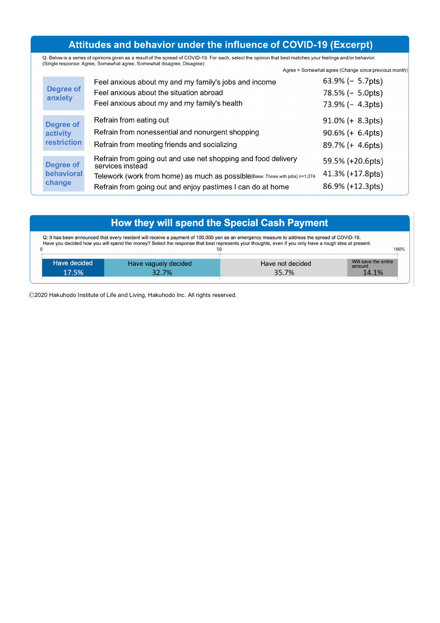# Attitudes and behavior under the influence of COVID-19 (Excerpt)

Q: Below is a series of opinions given as a result of the spread of COVID-19. For each, select the opinion that best matches your feelings and/or behavior.<br>(Single response: Agree, Somewhat agree, Somewhat disagree, Disagr Agree + Somewhat agree (Change since previous month)

| <b>Degree of</b><br>anxiety                        | Feel anxious about my and my family's jobs and income<br>Feel anxious about the situation abroad<br>Feel anxious about my and my family's health                                                                                | $63.9\%$ (- 5.7pts)<br>78.5% (- 5.0pts)<br>73.9% (- 4.3pts)    |
|----------------------------------------------------|---------------------------------------------------------------------------------------------------------------------------------------------------------------------------------------------------------------------------------|----------------------------------------------------------------|
| <b>Degree of</b><br>activity<br><b>restriction</b> | Refrain from eating out<br>Refrain from nonessential and nonurgent shopping<br>Refrain from meeting friends and socializing                                                                                                     | $91.0\% (+ 8.3pts)$<br>$90.6\% (+ 6.4pts)$<br>89.7% (+ 4.6pts) |
| Degree of<br>behavioral<br>change                  | Refrain from going out and use net shopping and food delivery<br>services instead<br>Telework (work from home) as much as possible[Base: Those with jobs] n=1,074<br>Refrain from going out and enjoy pastimes I can do at home | 59.5% (+20.6pts)<br>41.3% (+17.8pts)<br>86.9% (+12.3pts)       |

| How they will spend the Special Cash Payment                                                                                                                                                                                                                                                                   |                               |                           |                                         |  |  |  |  |
|----------------------------------------------------------------------------------------------------------------------------------------------------------------------------------------------------------------------------------------------------------------------------------------------------------------|-------------------------------|---------------------------|-----------------------------------------|--|--|--|--|
| Q: It has been announced that every resident will receive a payment of 100,000 yen as an emergency measure to address the spread of COVID-19.<br>Have you decided how you will spend the money? Select the response that best represents your thoughts, even if you only have a rough idea at present.<br>100% |                               |                           |                                         |  |  |  |  |
| Have decided<br>17.5%                                                                                                                                                                                                                                                                                          | Have vaguely decided<br>32.7% | Have not decided<br>35.7% | Will save the entire<br>amount<br>14.1% |  |  |  |  |

Ⓒ2020 Hakuhodo Institute of Life and Living, Hakuhodo Inc. All rights reserved.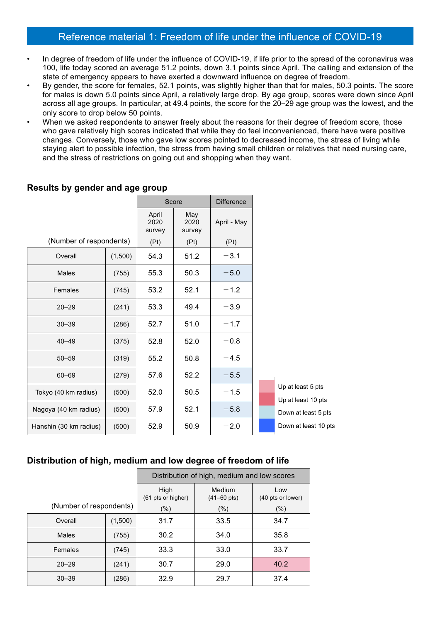## Reference material 1: Freedom of life under the influence of COVID-19

- In degree of freedom of life under the influence of COVID-19, if life prior to the spread of the coronavirus was 100, life today scored an average 51.2 points, down 3.1 points since April. The calling and extension of the state of emergency appears to have exerted a downward influence on degree of freedom.
- By gender, the score for females, 52.1 points, was slightly higher than that for males, 50.3 points. The score for males is down 5.0 points since April, a relatively large drop. By age group, scores were down since April across all age groups. In particular, at 49.4 points, the score for the 20–29 age group was the lowest, and the only score to drop below 50 points.
- When we asked respondents to answer freely about the reasons for their degree of freedom score, those who gave relatively high scores indicated that while they do feel inconvenienced, there have were positive changes. Conversely, those who gave low scores pointed to decreased income, the stress of living while staying alert to possible infection, the stress from having small children or relatives that need nursing care, and the stress of restrictions on going out and shopping when they want.

|                         |         |                         | Score                 | <b>Difference</b> |                    |
|-------------------------|---------|-------------------------|-----------------------|-------------------|--------------------|
|                         |         | April<br>2020<br>survey | May<br>2020<br>survey | April - May       |                    |
| (Number of respondents) |         | (Pt)                    | (Pt)                  | (Pt)              |                    |
| Overall                 | (1,500) | 54.3                    | 51.2                  | $-3.1$            |                    |
| <b>Males</b>            | (755)   | 55.3                    | 50.3                  | $-5.0$            |                    |
| Females                 | (745)   | 53.2                    | 52.1                  | $-1.2$            |                    |
| $20 - 29$               | (241)   | 53.3                    | 49.4                  | $-3.9$            |                    |
| $30 - 39$               | (286)   | 52.7                    | 51.0                  | $-1.7$            |                    |
| $40 - 49$               | (375)   | 52.8                    | 52.0                  | $-0.8$            |                    |
| $50 - 59$               | (319)   | 55.2                    | 50.8                  | $-4.5$            |                    |
| $60 - 69$               | (279)   | 57.6                    | 52.2                  | $-5.5$            |                    |
| Tokyo (40 km radius)    | (500)   | 52.0                    | 50.5                  | $-1.5$            | Up at l<br>Up at I |
| Nagoya (40 km radius)   | (500)   | 57.9                    | 52.1                  | $-5.8$            | Down a             |
| Hanshin (30 km radius)  | (500)   | 52.9                    | 50.9                  | $-2.0$            | Down a             |

## **Results by gender and age group**

least 5 pts least 10 pts at least 5 pts at least 10 pts

## **Distribution of high, medium and low degree of freedom of life**

|                         |         | Distribution of high, medium and low scores |                          |        |  |  |  |  |
|-------------------------|---------|---------------------------------------------|--------------------------|--------|--|--|--|--|
|                         |         | High<br>(61 pts or higher)                  | Low<br>(40 pts or lower) |        |  |  |  |  |
| (Number of respondents) |         | $(\% )$                                     | $(\% )$                  | $(\%)$ |  |  |  |  |
| Overall                 | (1,500) | 31.7                                        | 33.5                     | 34.7   |  |  |  |  |
| <b>Males</b>            | (755)   | 30.2                                        | 34.0                     | 35.8   |  |  |  |  |
| Females                 | (745)   | 33.3                                        | 33.0                     | 33.7   |  |  |  |  |
| $20 - 29$               | (241)   | 30.7                                        | 29.0                     | 40.2   |  |  |  |  |
| $30 - 39$               | (286)   | 32.9                                        | 29.7                     | 37.4   |  |  |  |  |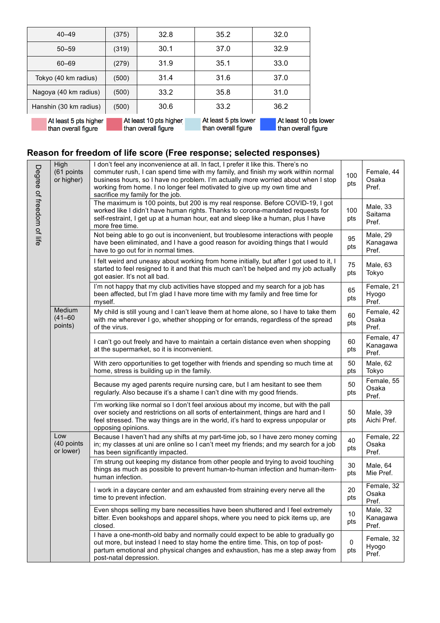| $40 - 49$                                    | (375) | 32.8                                          | 35.2                                        | 32.0                                         |
|----------------------------------------------|-------|-----------------------------------------------|---------------------------------------------|----------------------------------------------|
| $50 - 59$                                    | (319) | 30.1                                          | 37.0                                        | 32.9                                         |
| 60-69                                        | (279) | 31.9                                          | 35.1                                        | 33.0                                         |
| Tokyo (40 km radius)                         | (500) | 31.4                                          | 31.6                                        | 37.0                                         |
| Nagoya (40 km radius)                        | (500) | 33.2                                          | 35.8                                        | 31.0                                         |
| Hanshin (30 km radius)                       | (500) | 30.6                                          | 33.2                                        | 36.2                                         |
| At least 5 pts higher<br>than overall figure |       | At least 10 pts higher<br>than overall figure | At least 5 pts lower<br>than overall figure | At least 10 pts lower<br>than overall figure |

# **Reason for freedom of life score (Free response; selected responses)**

| Degree of freedom of life | High<br>(61 points<br>or higher) | I don't feel any inconvenience at all. In fact, I prefer it like this. There's no<br>commuter rush, I can spend time with my family, and finish my work within normal<br>business hours, so I have no problem. I'm actually more worried about when I stop<br>working from home. I no longer feel motivated to give up my own time and<br>sacrifice my family for the job. | 100<br>pts | Female, 44<br>Osaka<br>Pref.    |
|---------------------------|----------------------------------|----------------------------------------------------------------------------------------------------------------------------------------------------------------------------------------------------------------------------------------------------------------------------------------------------------------------------------------------------------------------------|------------|---------------------------------|
|                           |                                  | The maximum is 100 points, but 200 is my real response. Before COVID-19, I got<br>worked like I didn't have human rights. Thanks to corona-mandated requests for<br>self-restraint, I get up at a human hour, eat and sleep like a human, plus I have<br>more free time.                                                                                                   | 100<br>pts | Male, 33<br>Saitama<br>Pref.    |
|                           |                                  | Not being able to go out is inconvenient, but troublesome interactions with people<br>have been eliminated, and I have a good reason for avoiding things that I would<br>have to go out for in normal times.                                                                                                                                                               | 95<br>pts  | Male, 29<br>Kanagawa<br>Pref.   |
|                           |                                  | I felt weird and uneasy about working from home initially, but after I got used to it, I<br>started to feel resigned to it and that this much can't be helped and my job actually<br>got easier. It's not all bad.                                                                                                                                                         | 75<br>pts  | Male, 63<br>Tokyo               |
|                           |                                  | I'm not happy that my club activities have stopped and my search for a job has<br>been affected, but I'm glad I have more time with my family and free time for<br>myself.                                                                                                                                                                                                 | 65<br>pts  | Female, 21<br>Hyogo<br>Pref.    |
|                           | Medium<br>$(41 - 60)$<br>points) | My child is still young and I can't leave them at home alone, so I have to take them<br>with me wherever I go, whether shopping or for errands, regardless of the spread<br>of the virus.                                                                                                                                                                                  | 60<br>pts  | Female, 42<br>Osaka<br>Pref.    |
|                           |                                  | I can't go out freely and have to maintain a certain distance even when shopping<br>at the supermarket, so it is inconvenient.                                                                                                                                                                                                                                             | 60<br>pts  | Female, 47<br>Kanagawa<br>Pref. |
|                           |                                  | With zero opportunities to get together with friends and spending so much time at<br>home, stress is building up in the family.                                                                                                                                                                                                                                            | 50<br>pts  | Male, 62<br>Tokyo               |
|                           |                                  | Because my aged parents require nursing care, but I am hesitant to see them<br>regularly. Also because it's a shame I can't dine with my good friends.                                                                                                                                                                                                                     | 50<br>pts  | Female, 55<br>Osaka<br>Pref.    |
|                           |                                  | I'm working like normal so I don't feel anxious about my income, but with the pall<br>over society and restrictions on all sorts of entertainment, things are hard and I<br>feel stressed. The way things are in the world, it's hard to express unpopular or<br>opposing opinions.                                                                                        | 50<br>pts  | Male, 39<br>Aichi Pref.         |
|                           | Low<br>(40 points<br>or lower)   | Because I haven't had any shifts at my part-time job, so I have zero money coming<br>in; my classes at uni are online so I can't meet my friends; and my search for a job<br>has been significantly impacted.                                                                                                                                                              | 40<br>pts  | Female, 22<br>Osaka<br>Pref.    |
|                           |                                  | I'm strung out keeping my distance from other people and trying to avoid touching<br>things as much as possible to prevent human-to-human infection and human-item-<br>human infection.                                                                                                                                                                                    | 30<br>pts  | Male, 64<br>Mie Pref.           |
|                           |                                  | I work in a daycare center and am exhausted from straining every nerve all the<br>time to prevent infection.                                                                                                                                                                                                                                                               | 20<br>pts  | Female, 32<br>Osaka<br>Pref.    |
|                           |                                  | Even shops selling my bare necessities have been shuttered and I feel extremely<br>bitter. Even bookshops and apparel shops, where you need to pick items up, are<br>closed.                                                                                                                                                                                               | 10<br>pts  | Male, 32<br>Kanagawa<br>Pref.   |
|                           |                                  | I have a one-month-old baby and normally could expect to be able to gradually go<br>out more, but instead I need to stay home the entire time. This, on top of post-<br>partum emotional and physical changes and exhaustion, has me a step away from<br>post-natal depression.                                                                                            | 0<br>pts   | Female, 32<br>Hyogo<br>Pref.    |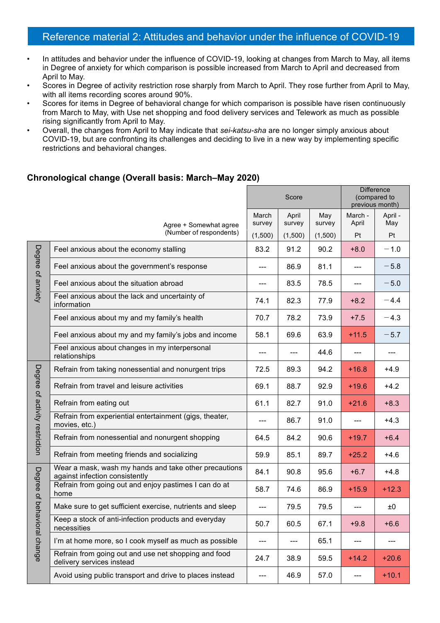# Reference material 2: Attitudes and behavior under the influence of COVID-19

- In attitudes and behavior under the influence of COVID-19, looking at changes from March to May, all items in Degree of anxiety for which comparison is possible increased from March to April and decreased from April to May.
- Scores in Degree of activity restriction rose sharply from March to April. They rose further from April to May, with all items recording scores around 90%.
- Scores for items in Degree of behavioral change for which comparison is possible have risen continuously from March to May, with Use net shopping and food delivery services and Telework as much as possible rising significantly from April to May.
- Overall, the changes from April to May indicate that *sei-katsu-sha* are no longer simply anxious about COVID-19, but are confronting its challenges and deciding to live in a new way by implementing specific restrictions and behavioral changes.

### **Chronological change (Overall basis: March–May 2020)**

|                                |                                                                                         |                 | Score           |               | <b>Difference</b><br>(compared to<br>previous month) |                |
|--------------------------------|-----------------------------------------------------------------------------------------|-----------------|-----------------|---------------|------------------------------------------------------|----------------|
|                                | Agree + Somewhat agree                                                                  | March<br>survey | April<br>survey | May<br>survey | March -<br>April                                     | April -<br>May |
|                                | (Number of respondents)                                                                 | (1,500)         | (1,500)         | (1,500)       | Pt                                                   | Pt             |
|                                | Feel anxious about the economy stalling                                                 | 83.2            | 91.2            | 90.2          | $+8.0$                                               | $-1.0$         |
| Degree of anxiety              | Feel anxious about the government's response                                            | ---             | 86.9            | 81.1          | ---                                                  | $-5.8$         |
|                                | Feel anxious about the situation abroad                                                 | ---             | 83.5            | 78.5          | ---                                                  | $-5.0$         |
|                                | Feel anxious about the lack and uncertainty of<br>information                           | 74.1            | 82.3            | 77.9          | $+8.2$                                               | $-4.4$         |
|                                | Feel anxious about my and my family's health                                            | 70.7            | 78.2            | 73.9          | $+7.5$                                               | $-4.3$         |
|                                | Feel anxious about my and my family's jobs and income                                   | 58.1            | 69.6            | 63.9          | $+11.5$                                              | $-5.7$         |
|                                | Feel anxious about changes in my interpersonal<br>relationships                         | ---             | ---             | 44.6          |                                                      |                |
|                                | Refrain from taking nonessential and nonurgent trips                                    | 72.5            | 89.3            | 94.2          | $+16.8$                                              | $+4.9$         |
|                                | Refrain from travel and leisure activities                                              | 69.1            | 88.7            | 92.9          | $+19.6$                                              | $+4.2$         |
|                                | Refrain from eating out                                                                 | 61.1            | 82.7            | 91.0          | $+21.6$                                              | $+8.3$         |
| Degree of activity restriction | Refrain from experiential entertainment (gigs, theater,<br>movies, etc.)                | ---             | 86.7            | 91.0          | ---                                                  | $+4.3$         |
|                                | Refrain from nonessential and nonurgent shopping                                        | 64.5            | 84.2            | 90.6          | $+19.7$                                              | $+6.4$         |
|                                | Refrain from meeting friends and socializing                                            | 59.9            | 85.1            | 89.7          | $+25.2$                                              | $+4.6$         |
|                                | Wear a mask, wash my hands and take other precautions<br>against infection consistently | 84.1            | 90.8            | 95.6          | $+6.7$                                               | $+4.8$         |
| Degree of beha                 | Refrain from going out and enjoy pastimes I can do at<br>home                           | 58.7            | 74.6            | 86.9          | $+15.9$                                              | $+12.3$        |
|                                | Make sure to get sufficient exercise, nutrients and sleep                               |                 | 79.5            | 79.5          |                                                      | ±0             |
|                                | Keep a stock of anti-infection products and everyday<br>necessities                     | 50.7            | 60.5            | 67.1          | $+9.8$                                               | $+6.6$         |
| vioral change                  | I'm at home more, so I cook myself as much as possible                                  | ---             | ---             | 65.1          | ---                                                  |                |
|                                | Refrain from going out and use net shopping and food<br>delivery services instead       | 24.7            | 38.9            | 59.5          | $+14.2$                                              | $+20.6$        |
|                                | Avoid using public transport and drive to places instead                                |                 | 46.9            | 57.0          | ---                                                  | $+10.1$        |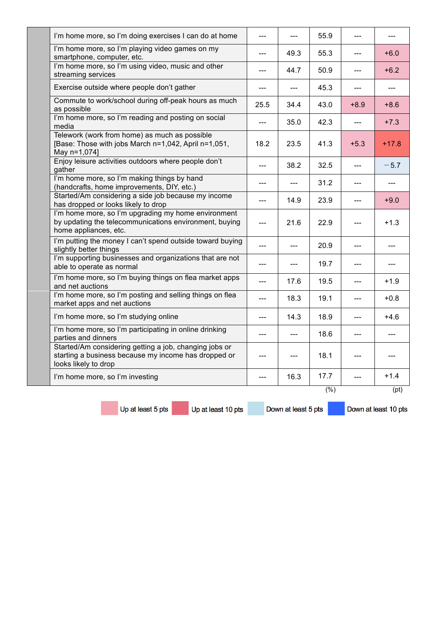| I'm home more, so I'm doing exercises I can do at home                                                                                 | ---  | $\overline{a}$ | 55.9   |         |         |
|----------------------------------------------------------------------------------------------------------------------------------------|------|----------------|--------|---------|---------|
| I'm home more, so I'm playing video games on my<br>smartphone, computer, etc.                                                          | ---  | 49.3           | 55.3   | $---$   | $+6.0$  |
| I'm home more, so I'm using video, music and other<br>streaming services                                                               | ---  | 44.7           | 50.9   | $---$   | $+6.2$  |
| Exercise outside where people don't gather                                                                                             | ---  | $---$          | 45.3   | $- - -$ | ---     |
| Commute to work/school during off-peak hours as much<br>as possible                                                                    | 25.5 | 34.4           | 43.0   | $+8.9$  | $+8.6$  |
| I'm home more, so I'm reading and posting on social<br>media                                                                           |      | 35.0           | 42.3   |         | $+7.3$  |
| Telework (work from home) as much as possible<br>[Base: Those with jobs March n=1,042, April n=1,051,<br>May n=1,074]                  | 18.2 | 23.5           | 41.3   | $+5.3$  | $+17.8$ |
| Enjoy leisure activities outdoors where people don't<br>gather                                                                         |      | 38.2           | 32.5   |         | $-5.7$  |
| I'm home more, so I'm making things by hand<br>(handcrafts, home improvements, DIY, etc.)                                              | ---  |                | 31.2   | ---     |         |
| Started/Am considering a side job because my income<br>has dropped or looks likely to drop                                             | ---  | 14.9           | 23.9   | ---     | $+9.0$  |
| I'm home more, so I'm upgrading my home environment<br>by updating the telecommunications environment, buying<br>home appliances, etc. | ---  | 21.6           | 22.9   |         | $+1.3$  |
| I'm putting the money I can't spend outside toward buying<br>slightly better things                                                    | ---  | ---            | 20.9   | ---     | ---     |
| I'm supporting businesses and organizations that are not<br>able to operate as normal                                                  | ---  | ---            | 19.7   | ---     |         |
| I'm home more, so I'm buying things on flea market apps<br>and net auctions                                                            | ---  | 17.6           | 19.5   | $---$   | $+1.9$  |
| I'm home more, so I'm posting and selling things on flea<br>market apps and net auctions                                               | ---  | 18.3           | 19.1   | $---$   | $+0.8$  |
| I'm home more, so I'm studying online                                                                                                  | ---  | 14.3           | 18.9   | ---     | $+4.6$  |
| I'm home more, so I'm participating in online drinking<br>parties and dinners                                                          | ---  | ---            | 18.6   | ---     | ---     |
| Started/Am considering getting a job, changing jobs or<br>starting a business because my income has dropped or<br>looks likely to drop | ---  |                | 18.1   |         |         |
| I'm home more, so I'm investing                                                                                                        |      | 16.3           | 17.7   | ---     | $+1.4$  |
|                                                                                                                                        |      |                | $(\%)$ |         | (pt)    |

Up at least 5 pts

Up at least 10 pts

Down at least 5 pts

Down at least 10 pts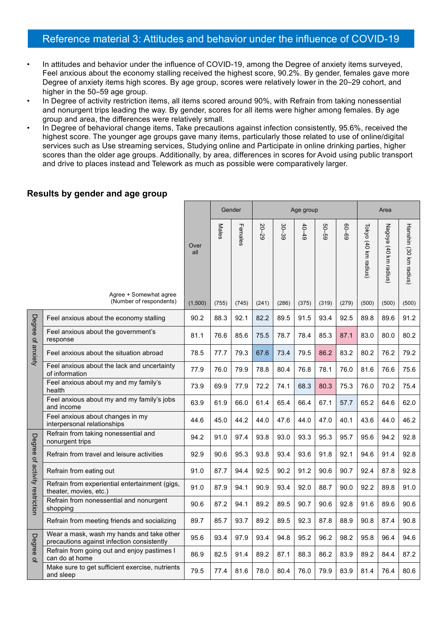# Reference material 3: Attitudes and behavior under the influence of COVID-19

- In attitudes and behavior under the influence of COVID-19, among the Degree of anxiety items surveyed, Feel anxious about the economy stalling received the highest score, 90.2%. By gender, females gave more Degree of anxiety items high scores. By age group, scores were relatively lower in the 20–29 cohort, and higher in the 50–59 age group.
- In Degree of activity restriction items, all items scored around 90%, with Refrain from taking nonessential and nonurgent trips leading the way. By gender, scores for all items were higher among females. By age group and area, the differences were relatively small.
- In Degree of behavioral change items, Take precautions against infection consistently, 95.6%, received the highest score. The younger age groups gave many items, particularly those related to use of online/digital services such as Use streaming services, Studying online and Participate in online drinking parties, higher scores than the older age groups. Additionally, by area, differences in scores for Avoid using public transport and drive to places instead and Telework as much as possible were comparatively larger.

|                                |                                                                                         |             |       | Gender  | Age group |       |           |       | Area      |                      |                              |                        |
|--------------------------------|-----------------------------------------------------------------------------------------|-------------|-------|---------|-----------|-------|-----------|-------|-----------|----------------------|------------------------------|------------------------|
|                                |                                                                                         | Over<br>all | Males | Females | 20-29     | 30-39 | $40 - 49$ | 69-09 | $69 - 09$ | Tokyo (40 km radius) | Nagoya<br>(40 km)<br>radius) | Hanshin (30 km radius) |
|                                | Agree + Somewhat agree<br>(Number of respondents)                                       | (1,500)     | (755) | (745)   | (241)     | (286) | (375)     | (319) | (279)     | (500)                | (500)                        | (500)                  |
|                                | Feel anxious about the economy stalling                                                 | 90.2        | 88.3  | 92.1    | 82.2      | 89.5  | 91.5      | 93.4  | 92.5      | 89.8                 | 89.6                         | 91.2                   |
| Degree of anxiety              | Feel anxious about the government's<br>response                                         | 81.1        | 76.6  | 85.6    | 75.5      | 78.7  | 78.4      | 85.3  | 87.1      | 83.0                 | 80.0                         | 80.2                   |
|                                | Feel anxious about the situation abroad                                                 | 78.5        | 77.7  | 79.3    | 67.6      | 73.4  | 79.5      | 86.2  | 83.2      | 80.2                 | 76.2                         | 79.2                   |
|                                | Feel anxious about the lack and uncertainty<br>of information                           | 77.9        | 76.0  | 79.9    | 78.8      | 80.4  | 76.8      | 78.1  | 76.0      | 81.6                 | 76.6                         | 75.6                   |
|                                | Feel anxious about my and my family's<br>health                                         | 73.9        | 69.9  | 77.9    | 72.2      | 74.1  | 68.3      | 80.3  | 75.3      | 76.0                 | 70.2                         | 75.4                   |
|                                | Feel anxious about my and my family's jobs<br>and income                                | 63.9        | 61.9  | 66.0    | 61.4      | 65.4  | 66.4      | 67.1  | 57.7      | 65.2                 | 64.6                         | 62.0                   |
|                                | Feel anxious about changes in my<br>interpersonal relationships                         | 44.6        | 45.0  | 44.2    | 44.0      | 47.6  | 44.0      | 47.0  | 40.1      | 43.6                 | 44.0                         | 46.2                   |
|                                | Refrain from taking nonessential and<br>nonurgent trips                                 | 94.2        | 91.0  | 97.4    | 93.8      | 93.0  | 93.3      | 95.3  | 95.7      | 95.6                 | 94.2                         | 92.8                   |
|                                | Refrain from travel and leisure activities                                              | 92.9        | 90.6  | 95.3    | 93.8      | 93.4  | 93.6      | 91.8  | 92.1      | 94.6                 | 91.4                         | 92.8                   |
|                                | Refrain from eating out                                                                 | 91.0        | 87.7  | 94.4    | 92.5      | 90.2  | 91.2      | 90.6  | 90.7      | 92.4                 | 87.8                         | 92.8                   |
|                                | Refrain from experiential entertainment (gigs,<br>theater, movies, etc.)                | 91.0        | 87.9  | 94.1    | 90.9      | 93.4  | 92.0      | 88.7  | 90.0      | 92.2                 | 89.8                         | 91.0                   |
| Degree of activity restriction | Refrain from nonessential and nonurgent<br>shopping                                     | 90.6        | 87.2  | 94.1    | 89.2      | 89.5  | 90.7      | 90.6  | 92.8      | 91.6                 | 89.6                         | 90.6                   |
|                                | Refrain from meeting friends and socializing                                            | 89.7        | 85.7  | 93.7    | 89.2      | 89.5  | 92.3      | 87.8  | 88.9      | 90.8                 | 87.4                         | 90.8                   |
| Degree                         | Wear a mask, wash my hands and take other<br>precautions against infection consistently | 95.6        | 93.4  | 97.9    | 93.4      | 94.8  | 95.2      | 96.2  | 98.2      | 95.8                 | 96.4                         | 94.6                   |
| $\overline{a}$                 | Refrain from going out and enjoy pastimes I<br>can do at home                           | 86.9        | 82.5  | 91.4    | 89.2      | 87.1  | 88.3      | 86.2  | 83.9      | 89.2                 | 84.4                         | 87.2                   |
|                                | Make sure to get sufficient exercise, nutrients<br>and sleep                            | 79.5        | 77.4  | 81.6    | 78.0      | 80.4  | 76.0      | 79.9  | 83.9      | 81.4                 | 76.4                         | 80.6                   |

#### **Results by gender and age group**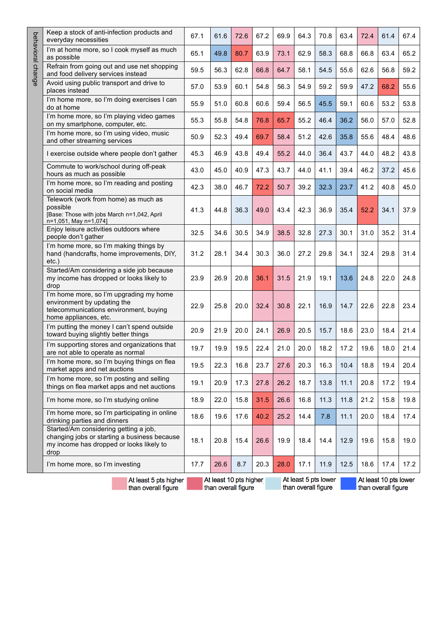|                   | Keep a stock of anti-infection products and<br>everyday necessities                                                                                                                          | 67.1 | 61.6 | 72.6 | 67.2 | 69.9 | 64.3 | 70.8 | 63.4 | 72.4 | 61.4 | 67.4 |
|-------------------|----------------------------------------------------------------------------------------------------------------------------------------------------------------------------------------------|------|------|------|------|------|------|------|------|------|------|------|
| behavioral change | I'm at home more, so I cook myself as much<br>as possible                                                                                                                                    | 65.1 | 49.8 | 80.7 | 63.9 | 73.1 | 62.9 | 58.3 | 68.8 | 66.8 | 63.4 | 65.2 |
|                   | Refrain from going out and use net shopping<br>and food delivery services instead                                                                                                            | 59.5 | 56.3 | 62.8 | 66.8 | 64.7 | 58.1 | 54.5 | 55.6 | 62.6 | 56.8 | 59.2 |
|                   | Avoid using public transport and drive to<br>places instead                                                                                                                                  | 57.0 | 53.9 | 60.1 | 54.8 | 56.3 | 54.9 | 59.2 | 59.9 | 47.2 | 68.2 | 55.6 |
|                   | I'm home more, so I'm doing exercises I can<br>do at home                                                                                                                                    | 55.9 | 51.0 | 60.8 | 60.6 | 59.4 | 56.5 | 45.5 | 59.1 | 60.6 | 53.2 | 53.8 |
|                   | I'm home more, so I'm playing video games<br>on my smartphone, computer, etc.                                                                                                                | 55.3 | 55.8 | 54.8 | 76.8 | 65.7 | 55.2 | 46.4 | 36.2 | 56.0 | 57.0 | 52.8 |
|                   | I'm home more, so I'm using video, music<br>and other streaming services                                                                                                                     | 50.9 | 52.3 | 49.4 | 69.7 | 58.4 | 51.2 | 42.6 | 35.8 | 55.6 | 48.4 | 48.6 |
|                   | I exercise outside where people don't gather                                                                                                                                                 | 45.3 | 46.9 | 43.8 | 49.4 | 55.2 | 44.0 | 36.4 | 43.7 | 44.0 | 48.2 | 43.8 |
|                   | Commute to work/school during off-peak<br>hours as much as possible                                                                                                                          | 43.0 | 45.0 | 40.9 | 47.3 | 43.7 | 44.0 | 41.1 | 39.4 | 46.2 | 37.2 | 45.6 |
|                   | I'm home more, so I'm reading and posting<br>on social media                                                                                                                                 | 42.3 | 38.0 | 46.7 | 72.2 | 50.7 | 39.2 | 32.3 | 23.7 | 41.2 | 40.8 | 45.0 |
|                   | Telework (work from home) as much as<br>possible<br>[Base: Those with jobs March n=1,042, April<br>n=1,051, May n=1,074]                                                                     | 41.3 | 44.8 | 36.3 | 49.0 | 43.4 | 42.3 | 36.9 | 35.4 | 52.2 | 34.1 | 37.9 |
|                   | Enjoy leisure activities outdoors where<br>people don't gather                                                                                                                               | 32.5 | 34.6 | 30.5 | 34.9 | 38.5 | 32.8 | 27.3 | 30.1 | 31.0 | 35.2 | 31.4 |
|                   | I'm home more, so I'm making things by<br>hand (handcrafts, home improvements, DIY,<br>$etc.$ )                                                                                              | 31.2 | 28.1 | 34.4 | 30.3 | 36.0 | 27.2 | 29.8 | 34.1 | 32.4 | 29.8 | 31.4 |
|                   | Started/Am considering a side job because<br>my income has dropped or looks likely to<br>drop                                                                                                | 23.9 | 26.9 | 20.8 | 36.1 | 31.5 | 21.9 | 19.1 | 13.6 | 24.8 | 22.0 | 24.8 |
|                   | I'm home more, so I'm upgrading my home<br>environment by updating the<br>telecommunications environment, buying<br>home appliances, etc.                                                    | 22.9 | 25.8 | 20.0 | 32.4 | 30.8 | 22.1 | 16.9 | 14.7 | 22.6 | 22.8 | 23.4 |
|                   | I'm putting the money I can't spend outside<br>toward buying slightly better things                                                                                                          | 20.9 | 21.9 | 20.0 | 24.1 | 26.9 | 20.5 | 15.7 | 18.6 | 23.0 | 18.4 | 21.4 |
|                   | I'm supporting stores and organizations that<br>are not able to operate as normal                                                                                                            | 19.7 | 19.9 | 19.5 | 22.4 | 21.0 | 20.0 | 18.2 | 17.2 | 19.6 | 18.0 | 21.4 |
|                   | I'm home more, so I'm buying things on flea<br>market apps and net auctions                                                                                                                  | 19.5 | 22.3 | 16.8 | 23.7 | 27.6 | 20.3 | 16.3 | 10.4 | 18.8 | 19.4 | 20.4 |
|                   | I'm home more, so I'm posting and selling<br>things on flea market apps and net auctions                                                                                                     | 19.1 | 20.9 | 17.3 | 27.8 | 26.2 | 18.7 | 13.8 | 11.1 | 20.8 | 17.2 | 19.4 |
|                   | I'm home more, so I'm studying online                                                                                                                                                        | 18.9 | 22.0 | 15.8 | 31.5 | 26.6 | 16.8 | 11.3 | 11.8 | 21.2 | 15.8 | 19.8 |
|                   | I'm home more, so I'm participating in online<br>drinking parties and dinners                                                                                                                | 18.6 | 19.6 | 17.6 | 40.2 | 25.2 | 14.4 | 7.8  | 11.1 | 20.0 | 18.4 | 17.4 |
|                   | Started/Am considering getting a job,<br>changing jobs or starting a business because<br>my income has dropped or looks likely to<br>drop                                                    | 18.1 | 20.8 | 15.4 | 26.6 | 19.9 | 18.4 | 14.4 | 12.9 | 19.6 | 15.8 | 19.0 |
|                   | I'm home more, so I'm investing                                                                                                                                                              | 17.7 | 26.6 | 8.7  | 20.3 | 28.0 | 17.1 | 11.9 | 12.5 | 18.6 | 17.4 | 17.2 |
|                   | At least 5 pts lower<br>At least 10 pts lower<br>At least 10 pts higher<br>At least 5 pts higher<br>than overall figure<br>than overall figure<br>than overall figure<br>than overall figure |      |      |      |      |      |      |      |      |      |      |      |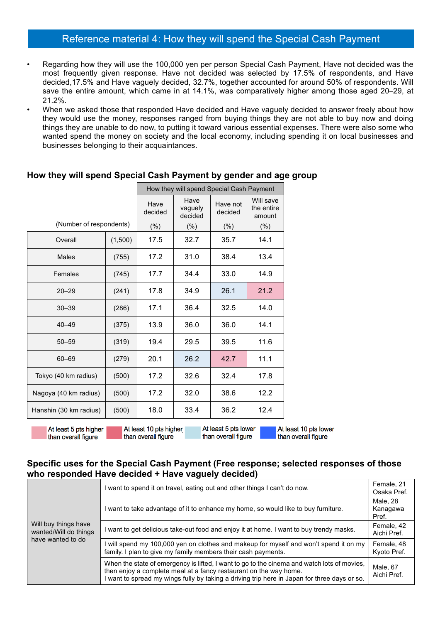# Reference material 4: How they will spend the Special Cash Payment

- Regarding how they will use the 100,000 yen per person Special Cash Payment, Have not decided was the most frequently given response. Have not decided was selected by 17.5% of respondents, and Have decided,17.5% and Have vaguely decided, 32.7%, together accounted for around 50% of respondents. Will save the entire amount, which came in at 14.1%, was comparatively higher among those aged 20–29, at 21.2%.
- When we asked those that responded Have decided and Have vaguely decided to answer freely about how they would use the money, responses ranged from buying things they are not able to buy now and doing things they are unable to do now, to putting it toward various essential expenses. There were also some who wanted spend the money on society and the local economy, including spending it on local businesses and businesses belonging to their acquaintances.

|                                                                                                                                 |         | How they will spend Special Cash Payment |                                   |         |         |  |  |  |  |
|---------------------------------------------------------------------------------------------------------------------------------|---------|------------------------------------------|-----------------------------------|---------|---------|--|--|--|--|
|                                                                                                                                 |         | Have<br>decided                          | Will save<br>the entire<br>amount |         |         |  |  |  |  |
| (Number of respondents)                                                                                                         |         | $(\% )$                                  | $(\% )$                           | $(\% )$ | $(\% )$ |  |  |  |  |
| Overall                                                                                                                         | (1,500) | 17.5                                     | 32.7                              | 35.7    | 14.1    |  |  |  |  |
| <b>Males</b>                                                                                                                    | (755)   | 17.2                                     | 31.0                              | 38.4    | 13.4    |  |  |  |  |
| Females                                                                                                                         | (745)   | 17.7                                     | 34.4                              | 33.0    | 14.9    |  |  |  |  |
| $20 - 29$                                                                                                                       | (241)   | 17.8                                     | 34.9                              | 26.1    | 21.2    |  |  |  |  |
| $30 - 39$                                                                                                                       | (286)   | 17.1                                     | 36.4                              | 32.5    | 14.0    |  |  |  |  |
| $40 - 49$                                                                                                                       | (375)   | 13.9                                     | 36.0                              | 36.0    | 14.1    |  |  |  |  |
| $50 - 59$                                                                                                                       | (319)   | 19.4                                     | 29.5                              | 39.5    | 11.6    |  |  |  |  |
| $60 - 69$                                                                                                                       | (279)   | 20.1                                     | 26.2                              | 42.7    | 11.1    |  |  |  |  |
| Tokyo (40 km radius)                                                                                                            | (500)   | 17.2                                     | 32.6                              | 32.4    | 17.8    |  |  |  |  |
| Nagoya (40 km radius)                                                                                                           | (500)   | 17.2                                     | 32.0                              | 38.6    | 12.2    |  |  |  |  |
| Hanshin (30 km radius)                                                                                                          | (500)   | 18.0                                     | 33.4                              | 36.2    | 12.4    |  |  |  |  |
| $\blacksquare$ At loget 5 nte lower<br>$\Lambda$ t looot 10 nte biaher $\blacksquare$<br>$\overline{A}$ At locat $E$ ato biobor |         |                                          |                                   |         |         |  |  |  |  |

## **How they will spend Special Cash Payment by gender and age group**

At least 5 pts higher than overall figure

At least 10 pts higher than overall figure

αοι υ μ than overall figure

At least 10 pts lower than overall figure

#### **Specific uses for the Special Cash Payment (Free response; selected responses of those who responded Have decided + Have vaguely decided)**

|                                               | I want to spend it on travel, eating out and other things I can't do now.                                                                                                                                                                                        | Female, 21<br>Osaka Pref.     |
|-----------------------------------------------|------------------------------------------------------------------------------------------------------------------------------------------------------------------------------------------------------------------------------------------------------------------|-------------------------------|
|                                               | I want to take advantage of it to enhance my home, so would like to buy furniture.                                                                                                                                                                               | Male, 28<br>Kanagawa<br>Pref. |
| Will buy things have<br>wanted/Will do things | I want to get delicious take-out food and enjoy it at home. I want to buy trendy masks.                                                                                                                                                                          | Female, 42<br>Aichi Pref.     |
| have wanted to do                             | I will spend my 100,000 yen on clothes and makeup for myself and won't spend it on my<br>family. I plan to give my family members their cash payments.                                                                                                           | Female, 48<br>Kyoto Pref.     |
|                                               | When the state of emergency is lifted, I want to go to the cinema and watch lots of movies,<br>then enjoy a complete meal at a fancy restaurant on the way home.<br>I want to spread my wings fully by taking a driving trip here in Japan for three days or so. | Male, 67<br>Aichi Pref.       |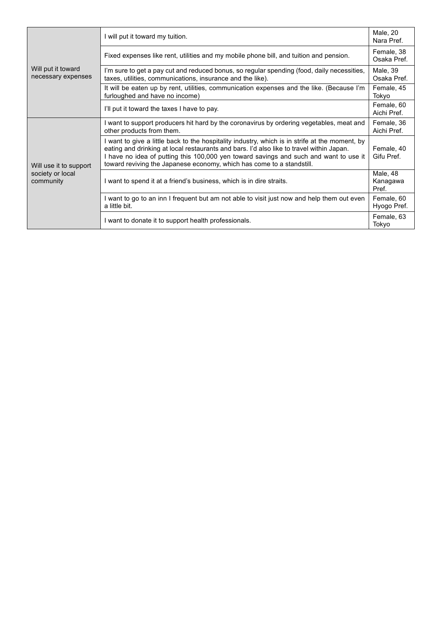| Will put it toward<br>necessary expenses                | I will put it toward my tuition.                                                                                                                                                                                                                                                                                                                             |                          |  |  |  |  |
|---------------------------------------------------------|--------------------------------------------------------------------------------------------------------------------------------------------------------------------------------------------------------------------------------------------------------------------------------------------------------------------------------------------------------------|--------------------------|--|--|--|--|
|                                                         | Fixed expenses like rent, utilities and my mobile phone bill, and tuition and pension.                                                                                                                                                                                                                                                                       |                          |  |  |  |  |
|                                                         | I'm sure to get a pay cut and reduced bonus, so regular spending (food, daily necessities,<br>taxes, utilities, communications, insurance and the like).                                                                                                                                                                                                     |                          |  |  |  |  |
|                                                         | It will be eaten up by rent, utilities, communication expenses and the like. (Because I'm<br>Female, 45<br>furloughed and have no income)                                                                                                                                                                                                                    |                          |  |  |  |  |
|                                                         | I'll put it toward the taxes I have to pay.                                                                                                                                                                                                                                                                                                                  |                          |  |  |  |  |
| Will use it to support<br>society or local<br>community | I want to support producers hit hard by the coronavirus by ordering vegetables, meat and<br>other products from them.                                                                                                                                                                                                                                        |                          |  |  |  |  |
|                                                         | I want to give a little back to the hospitality industry, which is in strife at the moment, by<br>eating and drinking at local restaurants and bars. I'd also like to travel within Japan.<br>I have no idea of putting this 100,000 yen toward savings and such and want to use it<br>toward reviving the Japanese economy, which has come to a standstill. | Female, 40<br>Gifu Pref. |  |  |  |  |
|                                                         | I want to spend it at a friend's business, which is in dire straits.                                                                                                                                                                                                                                                                                         |                          |  |  |  |  |
|                                                         | I want to go to an inn I frequent but am not able to visit just now and help them out even<br>a little bit.                                                                                                                                                                                                                                                  |                          |  |  |  |  |
|                                                         | I want to donate it to support health professionals.                                                                                                                                                                                                                                                                                                         |                          |  |  |  |  |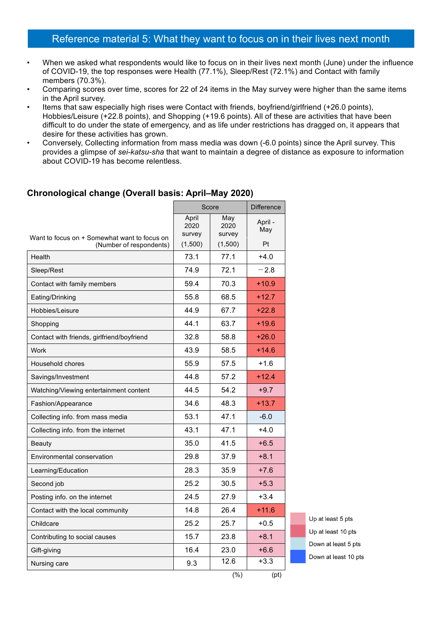# Reference material 5: What they want to focus on in their lives next month

- When we asked what respondents would like to focus on in their lives next month (June) under the influence of COVID-19, the top responses were Health (77.1%), Sleep/Rest (72.1%) and Contact with family members (70.3%).
- Comparing scores over time, scores for 22 of 24 items in the May survey were higher than the same items in the April survey.
- Items that saw especially high rises were Contact with friends, boyfriend/girlfriend (+26.0 points), Hobbies/Leisure (+22.8 points), and Shopping (+19.6 points). All of these are activities that have been difficult to do under the state of emergency, and as life under restrictions has dragged on, it appears that desire for these activities has grown.
- Conversely, Collecting information from mass media was down (-6.0 points) since the April survey. This provides a glimpse of *sei-katsu-sha* that want to maintain a degree of distance as exposure to information about COVID-19 has become relentless.

## **Chronological change (Overall basis: April–May 2020)**

|                                                                         | Score                   |                       | <b>Difference</b> |
|-------------------------------------------------------------------------|-------------------------|-----------------------|-------------------|
|                                                                         | April<br>2020<br>survey | May<br>2020<br>survey | April -<br>May    |
| Want to focus on + Somewhat want to focus on<br>(Number of respondents) | (1,500)                 | (1,500)               | Pt                |
| Health                                                                  | 73.1                    | 77.1                  | $+4.0$            |
| Sleep/Rest                                                              | 74.9                    | 72.1                  | $-2.8$            |
| Contact with family members                                             | 59.4                    | 70.3                  | $+10.9$           |
| Eating/Drinking                                                         | 55.8                    | 68.5                  | $+12.7$           |
| Hobbies/Leisure                                                         | 44.9                    | 67.7                  | $+22.8$           |
| Shopping                                                                | 44.1                    | 63.7                  | $+19.6$           |
| Contact with friends, girlfriend/boyfriend                              | 32.8                    | 58.8                  | $+26.0$           |
| Work                                                                    | 43.9                    | 58.5                  | $+14.6$           |
| Household chores                                                        | 55.9                    | 57.5                  | $+1.6$            |
| Savings/Investment                                                      | 44.8                    | 57.2                  | $+12.4$           |
| Watching/Viewing entertainment content                                  | 44.5                    | 54.2                  | $+9.7$            |
| Fashion/Appearance                                                      | 34.6                    | 48.3                  | $+13.7$           |
| Collecting info. from mass media                                        | 53.1                    | 47.1                  | $-6.0$            |
| Collecting info. from the internet                                      | 43.1                    | 47.1                  | $+4.0$            |
| Beauty                                                                  | 35.0                    | 41.5                  | $+6.5$            |
| Environmental conservation                                              | 29.8                    | 37.9                  | $+8.1$            |
| Learning/Education                                                      | 28.3                    | 35.9                  | $+7.6$            |
| Second job                                                              | 25.2                    | 30.5                  | $+5.3$            |
| Posting info. on the internet                                           | 24.5                    | 27.9                  | $+3.4$            |
| Contact with the local community                                        | 14.8                    | 26.4                  | $+11.6$           |
| Childcare                                                               | 25.2                    | 25.7                  | $+0.5$            |
| Contributing to social causes                                           | 15.7                    | 23.8                  | $+8.1$            |
| Gift-giving                                                             | 16.4                    | 23.0                  | $+6.6$            |
| Nursing care                                                            | 9.3                     | 12.6                  | $+3.3$            |
|                                                                         |                         | (%)                   | (pt)              |

Up at least 5 pts Up at least 10 pts Down at least 5 pts Down at least 10 pts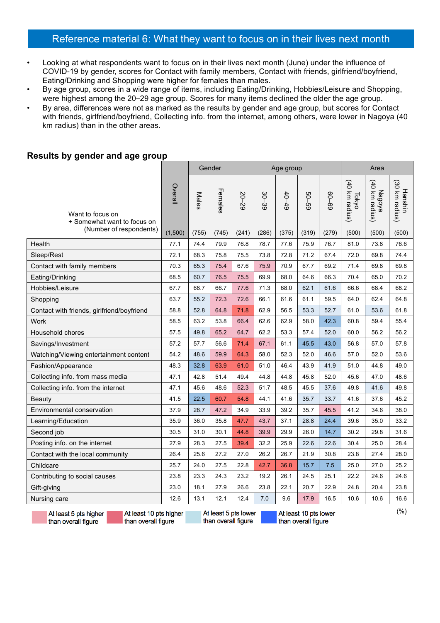# Reference material 6: What they want to focus on in their lives next month

- Looking at what respondents want to focus on in their lives next month (June) under the influence of COVID-19 by gender, scores for Contact with family members, Contact with friends, girlfriend/boyfriend, Eating/Drinking and Shopping were higher for females than males.
- By age group, scores in a wide range of items, including Eating/Drinking, Hobbies/Leisure and Shopping, were highest among the 20–29 age group. Scores for many items declined the older the age group.
- By area, differences were not as marked as the results by gender and age group, but scores for Contact with friends, girlfriend/boyfriend, Collecting info. from the internet, among others, were lower in Nagoya (40 km radius) than in the other areas.

#### **Results by gender and age group**

|                                                 |                                                                                        | Gender |         | Age group |       |           |       | Area      |                             |                              |                           |
|-------------------------------------------------|----------------------------------------------------------------------------------------|--------|---------|-----------|-------|-----------|-------|-----------|-----------------------------|------------------------------|---------------------------|
| Want to focus on<br>+ Somewhat want to focus on | Overall                                                                                | Males  | Females | $20 - 29$ | 30-39 | $60 - 49$ | 69-09 | $69 - 09$ | (40)<br>km radius)<br>Tokyo | (40)<br>Мадоуа<br>km radius) | (30 km radius)<br>Hanshin |
| (Number of respondents)                         | (1,500)                                                                                | (755)  | (745)   | (241)     | (286) | (375)     | (319) | (279)     | (500)                       | (500)                        | (500)                     |
| Health                                          | 77.1                                                                                   | 74.4   | 79.9    | 76.8      | 78.7  | 77.6      | 75.9  | 76.7      | 81.0                        | 73.8                         | 76.6                      |
| Sleep/Rest                                      | 72.1                                                                                   | 68.3   | 75.8    | 75.5      | 73.8  | 72.8      | 71.2  | 67.4      | 72.0                        | 69.8                         | 74.4                      |
| Contact with family members                     | 70.3                                                                                   | 65.3   | 75.4    | 67.6      | 75.9  | 70.9      | 67.7  | 69.2      | 71.4                        | 69.8                         | 69.8                      |
| Eating/Drinking                                 | 68.5                                                                                   | 60.7   | 76.5    | 75.5      | 69.9  | 68.0      | 64.6  | 66.3      | 70.4                        | 65.0                         | 70.2                      |
| Hobbies/Leisure                                 | 67.7                                                                                   | 68.7   | 66.7    | 77.6      | 71.3  | 68.0      | 62.1  | 61.6      | 66.6                        | 68.4                         | 68.2                      |
| Shopping                                        | 63.7                                                                                   | 55.2   | 72.3    | 72.6      | 66.1  | 61.6      | 61.1  | 59.5      | 64.0                        | 62.4                         | 64.8                      |
| Contact with friends, girlfriend/boyfriend      | 58.8                                                                                   | 52.8   | 64.8    | 71.8      | 62.9  | 56.5      | 53.3  | 52.7      | 61.0                        | 53.6                         | 61.8                      |
| Work                                            | 58.5                                                                                   | 63.2   | 53.8    | 66.4      | 62.6  | 62.9      | 58.0  | 42.3      | 60.8                        | 59.4                         | 55.4                      |
| Household chores                                | 57.5                                                                                   | 49.8   | 65.2    | 64.7      | 62.2  | 53.3      | 57.4  | 52.0      | 60.0                        | 56.2                         | 56.2                      |
| Savings/Investment                              | 57.2                                                                                   | 57.7   | 56.6    | 71.4      | 67.1  | 61.1      | 45.5  | 43.0      | 56.8                        | 57.0                         | 57.8                      |
| Watching/Viewing entertainment content          | 54.2                                                                                   | 48.6   | 59.9    | 64.3      | 58.0  | 52.3      | 52.0  | 46.6      | 57.0                        | 52.0                         | 53.6                      |
| Fashion/Appearance                              | 48.3                                                                                   | 32.8   | 63.9    | 61.0      | 51.0  | 46.4      | 43.9  | 41.9      | 51.0                        | 44.8                         | 49.0                      |
| Collecting info. from mass media                | 47.1                                                                                   | 42.8   | 51.4    | 49.4      | 44.8  | 44.8      | 45.8  | 52.0      | 45.6                        | 47.0                         | 48.6                      |
| Collecting info. from the internet              | 47.1                                                                                   | 45.6   | 48.6    | 52.3      | 51.7  | 48.5      | 45.5  | 37.6      | 49.8                        | 41.6                         | 49.8                      |
| Beauty                                          | 41.5                                                                                   | 22.5   | 60.7    | 54.8      | 44.1  | 41.6      | 35.7  | 33.7      | 41.6                        | 37.6                         | 45.2                      |
| Environmental conservation                      | 37.9                                                                                   | 28.7   | 47.2    | 34.9      | 33.9  | 39.2      | 35.7  | 45.5      | 41.2                        | 34.6                         | 38.0                      |
| Learning/Education                              | 35.9                                                                                   | 36.0   | 35.8    | 47.7      | 43.7  | 37.1      | 28.8  | 24.4      | 39.6                        | 35.0                         | 33.2                      |
| Second job                                      | 30.5                                                                                   | 31.0   | 30.1    | 44.8      | 39.9  | 29.9      | 26.0  | 14.7      | 30.2                        | 29.8                         | 31.6                      |
| Posting info. on the internet                   | 27.9                                                                                   | 28.3   | 27.5    | 39.4      | 32.2  | 25.9      | 22.6  | 22.6      | 30.4                        | 25.0                         | 28.4                      |
| Contact with the local community                | 26.4                                                                                   | 25.6   | 27.2    | 27.0      | 26.2  | 26.7      | 21.9  | 30.8      | 23.8                        | 27.4                         | 28.0                      |
| Childcare                                       | 25.7                                                                                   | 24.0   | 27.5    | 22.8      | 42.7  | 36.8      | 15.7  | 7.5       | 25.0                        | 27.0                         | 25.2                      |
| Contributing to social causes                   | 23.8                                                                                   | 23.3   | 24.3    | 23.2      | 19.2  | 26.1      | 24.5  | 25.1      | 22.2                        | 24.6                         | 24.6                      |
| Gift-giving                                     | 23.0                                                                                   | 18.1   | 27.9    | 26.6      | 23.8  | 22.1      | 20.7  | 22.9      | 24.8                        | 20.4                         | 23.8                      |
| Nursing care                                    | 12.6                                                                                   | 13.1   | 12.1    | 12.4      | 7.0   | 9.6       | 17.9  | 16.5      | 10.6                        | 10.6                         | 16.6                      |
| At least 5 pts higher                           | $(\% )$<br>At least 5 pts lower I<br>At least 10 pts higher<br>l At least 10 pts lower |        |         |           |       |           |       |           |                             |                              |                           |

At least 5 pts higher than overall figure

At least 10 pts higher than overall figure

At least 5 pts lower than overall figure

At least 10 pts lower than overall figure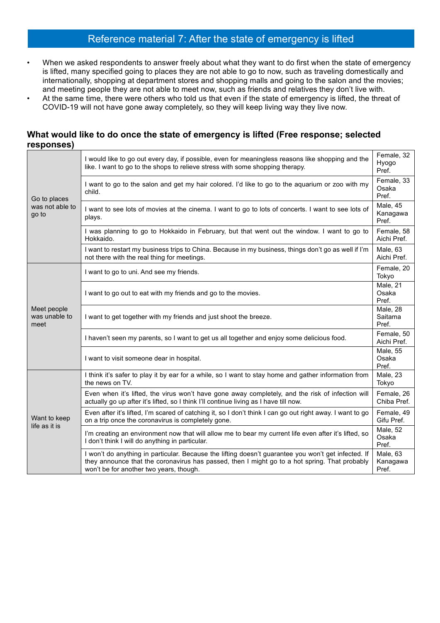# Reference material 7: After the state of emergency is lifted

- When we asked respondents to answer freely about what they want to do first when the state of emergency is lifted, many specified going to places they are not able to go to now, such as traveling domestically and internationally, shopping at department stores and shopping malls and going to the salon and the movies; and meeting people they are not able to meet now, such as friends and relatives they don't live with.
- At the same time, there were others who told us that even if the state of emergency is lifted, the threat of COVID-19 will not have gone away completely, so they will keep living way they live now.

## **What would like to do once the state of emergency is lifted (Free response; selected responses)**

| Go to places<br>was not able to<br>go to | I would like to go out every day, if possible, even for meaningless reasons like shopping and the<br>like. I want to go to the shops to relieve stress with some shopping therapy.                                                              |                                   |  |  |  |  |  |
|------------------------------------------|-------------------------------------------------------------------------------------------------------------------------------------------------------------------------------------------------------------------------------------------------|-----------------------------------|--|--|--|--|--|
|                                          | I want to go to the salon and get my hair colored. I'd like to go to the aquarium or zoo with my<br>child.                                                                                                                                      |                                   |  |  |  |  |  |
|                                          | Male, 45<br>I want to see lots of movies at the cinema. I want to go to lots of concerts. I want to see lots of<br>Kanagawa<br>plays.<br>Pref.                                                                                                  |                                   |  |  |  |  |  |
|                                          | I was planning to go to Hokkaido in February, but that went out the window. I want to go to<br>Female, 58<br>Aichi Pref.<br>Hokkaido.                                                                                                           |                                   |  |  |  |  |  |
|                                          | I want to restart my business trips to China. Because in my business, things don't go as well if I'm<br>not there with the real thing for meetings.                                                                                             | Male, 63<br>Aichi Pref.           |  |  |  |  |  |
|                                          | Female, 20<br>I want to go to uni. And see my friends.                                                                                                                                                                                          |                                   |  |  |  |  |  |
| Meet people<br>was unable to<br>meet     | Male, 21<br>Osaka<br>I want to go out to eat with my friends and go to the movies.<br>Pref.                                                                                                                                                     |                                   |  |  |  |  |  |
|                                          | I want to get together with my friends and just shoot the breeze.                                                                                                                                                                               |                                   |  |  |  |  |  |
|                                          | I haven't seen my parents, so I want to get us all together and enjoy some delicious food.<br>Aichi Pref.                                                                                                                                       |                                   |  |  |  |  |  |
|                                          | I want to visit someone dear in hospital.                                                                                                                                                                                                       | <b>Male, 55</b><br>Osaka<br>Pref. |  |  |  |  |  |
|                                          | I think it's safer to play it by ear for a while, so I want to stay home and gather information from<br>the news on TV.                                                                                                                         |                                   |  |  |  |  |  |
| Want to keep<br>life as it is            | Even when it's lifted, the virus won't have gone away completely, and the risk of infection will<br>actually go up after it's lifted, so I think I'll continue living as I have till now.                                                       |                                   |  |  |  |  |  |
|                                          | Even after it's lifted, I'm scared of catching it, so I don't think I can go out right away. I want to go<br>on a trip once the coronavirus is completely gone.                                                                                 |                                   |  |  |  |  |  |
|                                          | I'm creating an environment now that will allow me to bear my current life even after it's lifted, so<br>I don't think I will do anything in particular.                                                                                        | Male, 52<br>Osaka<br>Pref.        |  |  |  |  |  |
|                                          | I won't do anything in particular. Because the lifting doesn't guarantee you won't get infected. If<br>they announce that the coronavirus has passed, then I might go to a hot spring. That probably<br>won't be for another two years, though. |                                   |  |  |  |  |  |